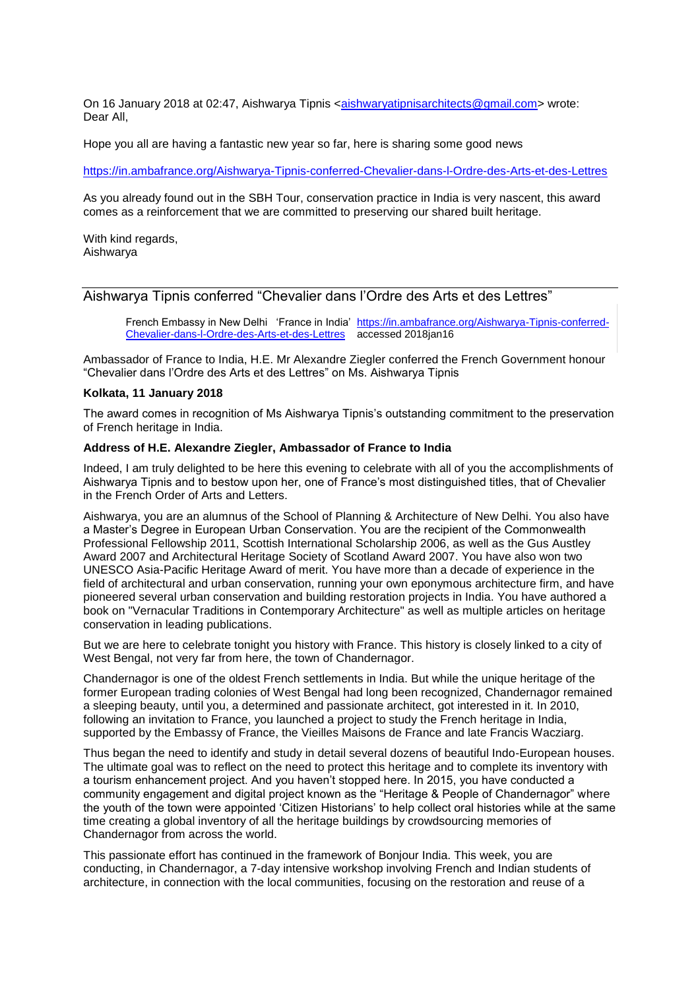On 16 January 2018 at 02:47, Aishwarya Tipnis [<aishwaryatipnisarchitects@gmail.com>](mailto:aishwaryatipnisarchitects@gmail.com) wrote: Dear All,

Hope you all are having a fantastic new year so far, here is sharing some good news

<https://in.ambafrance.org/Aishwarya-Tipnis-conferred-Chevalier-dans-l-Ordre-des-Arts-et-des-Lettres>

As you already found out in the SBH Tour, conservation practice in India is very nascent, this award comes as a reinforcement that we are committed to preserving our shared built heritage.

With kind regards, Aishwarya

## Aishwarya Tipnis conferred "Chevalier dans l'Ordre des Arts et des Lettres"

French Embassy in New Delhi 'France in India' [https://in.ambafrance.org/Aishwarya-Tipnis-conferred-](https://in.ambafrance.org/Aishwarya-Tipnis-conferred-Chevalier-dans-l-Ordre-des-Arts-et-des-Lettres)[Chevalier-dans-l-Ordre-des-Arts-et-des-Lettres](https://in.ambafrance.org/Aishwarya-Tipnis-conferred-Chevalier-dans-l-Ordre-des-Arts-et-des-Lettres) accessed 2018jan16

Ambassador of France to India, H.E. Mr Alexandre Ziegler conferred the French Government honour "Chevalier dans l'Ordre des Arts et des Lettres" on Ms. Aishwarya Tipnis

## **Kolkata, 11 January 2018**

The award comes in recognition of Ms Aishwarya Tipnis's outstanding commitment to the preservation of French heritage in India.

## **Address of H.E. Alexandre Ziegler, Ambassador of France to India**

Indeed, I am truly delighted to be here this evening to celebrate with all of you the accomplishments of Aishwarya Tipnis and to bestow upon her, one of France's most distinguished titles, that of Chevalier in the French Order of Arts and Letters.

Aishwarya, you are an alumnus of the School of Planning & Architecture of New Delhi. You also have a Master's Degree in European Urban Conservation. You are the recipient of the Commonwealth Professional Fellowship 2011, Scottish International Scholarship 2006, as well as the Gus Austley Award 2007 and Architectural Heritage Society of Scotland Award 2007. You have also won two UNESCO Asia-Pacific Heritage Award of merit. You have more than a decade of experience in the field of architectural and urban conservation, running your own eponymous architecture firm, and have pioneered several urban conservation and building restoration projects in India. You have authored a book on "Vernacular Traditions in Contemporary Architecture" as well as multiple articles on heritage conservation in leading publications.

But we are here to celebrate tonight you history with France. This history is closely linked to a city of West Bengal, not very far from here, the town of Chandernagor.

Chandernagor is one of the oldest French settlements in India. But while the unique heritage of the former European trading colonies of West Bengal had long been recognized, Chandernagor remained a sleeping beauty, until you, a determined and passionate architect, got interested in it. In 2010, following an invitation to France, you launched a project to study the French heritage in India, supported by the Embassy of France, the Vieilles Maisons de France and late Francis Wacziarg.

Thus began the need to identify and study in detail several dozens of beautiful Indo-European houses. The ultimate goal was to reflect on the need to protect this heritage and to complete its inventory with a tourism enhancement project. And you haven't stopped here. In 2015, you have conducted a community engagement and digital project known as the "Heritage & People of Chandernagor" where the youth of the town were appointed 'Citizen Historians' to help collect oral histories while at the same time creating a global inventory of all the heritage buildings by crowdsourcing memories of Chandernagor from across the world.

This passionate effort has continued in the framework of Bonjour India. This week, you are conducting, in Chandernagor, a 7-day intensive workshop involving French and Indian students of architecture, in connection with the local communities, focusing on the restoration and reuse of a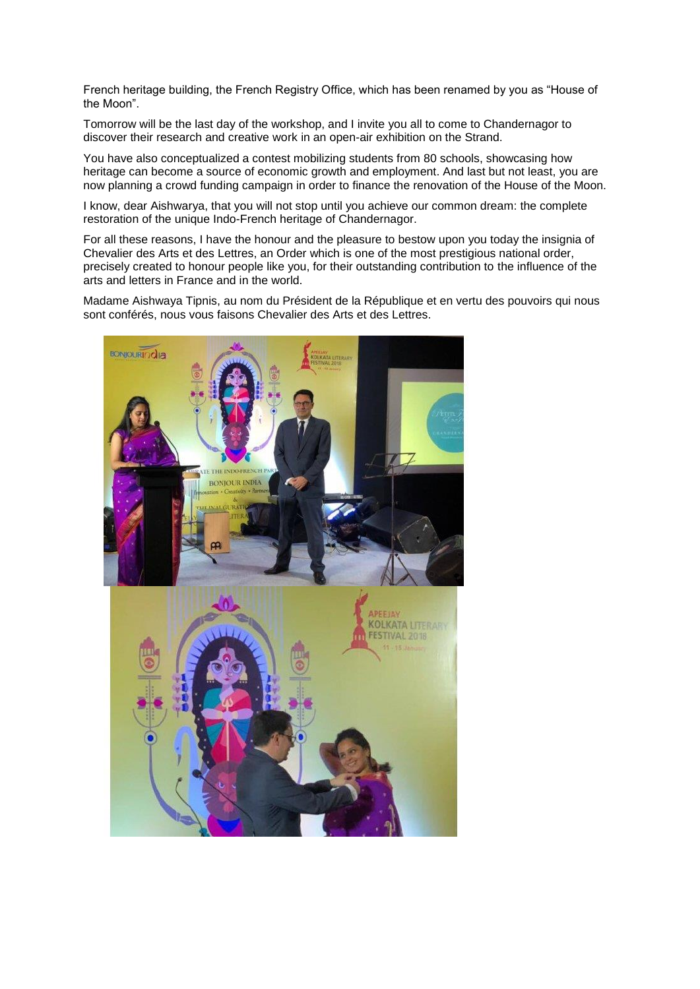French heritage building, the French Registry Office, which has been renamed by you as "House of the Moon".

Tomorrow will be the last day of the workshop, and I invite you all to come to Chandernagor to discover their research and creative work in an open-air exhibition on the Strand.

You have also conceptualized a contest mobilizing students from 80 schools, showcasing how heritage can become a source of economic growth and employment. And last but not least, you are now planning a crowd funding campaign in order to finance the renovation of the House of the Moon.

I know, dear Aishwarya, that you will not stop until you achieve our common dream: the complete restoration of the unique Indo-French heritage of Chandernagor.

For all these reasons, I have the honour and the pleasure to bestow upon you today the insignia of Chevalier des Arts et des Lettres, an Order which is one of the most prestigious national order, precisely created to honour people like you, for their outstanding contribution to the influence of the arts and letters in France and in the world.

Madame Aishwaya Tipnis, au nom du Président de la République et en vertu des pouvoirs qui nous sont conférés, nous vous faisons Chevalier des Arts et des Lettres.